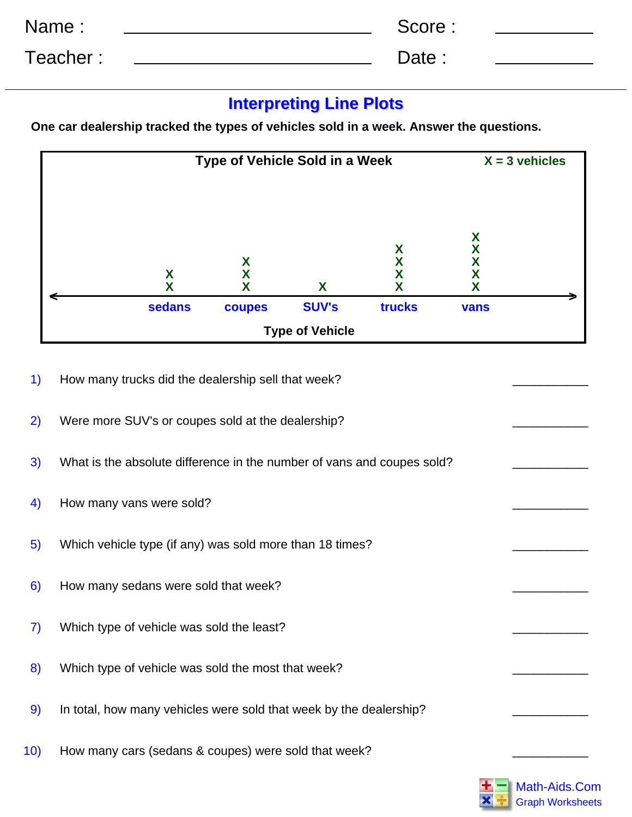| Name:    | Score: |
|----------|--------|
| Teacher: | Date : |

## **Interpreting Line Plots**

**One car dealership tracked the types of vehicles sold in a week. Answer the questions.**



- 1) How many trucks did the dealership sell that week?
- 2) Were more SUV's or coupes sold at the dealership?
- 3) What is the absolute difference in the number of vans and coupes sold?
- 4) How many vans were sold?
- 5) Which vehicle type (if any) was sold more than 18 times?
- 6) How many sedans were sold that week?
- 7) Which type of vehicle was sold the least?
- 8) Which type of vehicle was sold the most that week?
- 9) In total, how many vehicles were sold that week by the dealership?
- 10) How many cars (sedans & coupes) were sold that week?